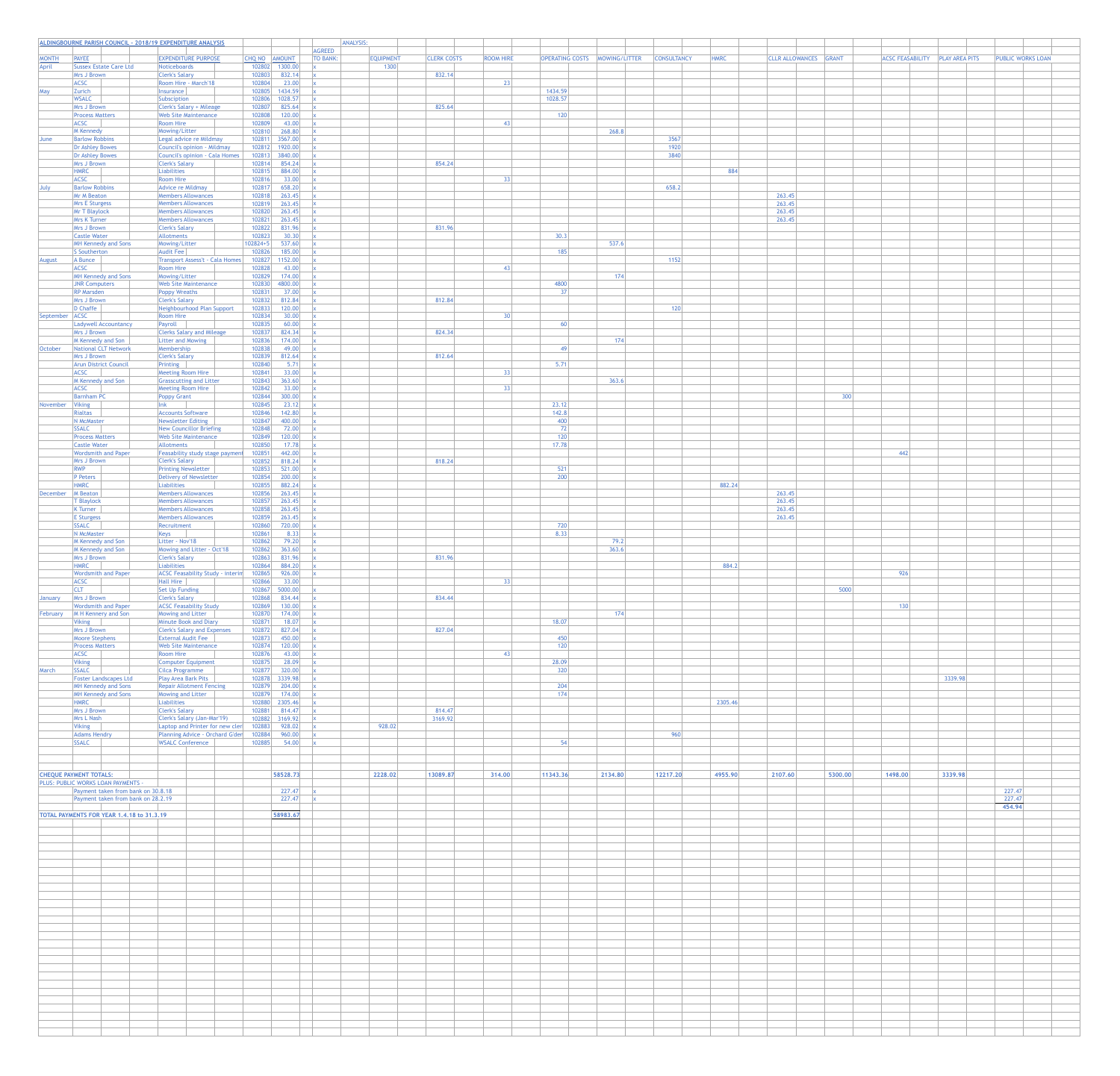|                       | ALDINGBOURNE PARISH COUNCIL - 2018/19 EXPENDITURE ANALYSIS                    |                                                                    |                                        |                 | ANALYSIS:                |                    |                  |                        |               |                    |             |                              |         |     |                         |                       |                          |
|-----------------------|-------------------------------------------------------------------------------|--------------------------------------------------------------------|----------------------------------------|-----------------|--------------------------|--------------------|------------------|------------------------|---------------|--------------------|-------------|------------------------------|---------|-----|-------------------------|-----------------------|--------------------------|
|                       |                                                                               |                                                                    |                                        | <b>AGREED</b>   |                          |                    |                  |                        |               |                    |             |                              |         |     |                         |                       |                          |
| <b>MONTH</b><br>April | <b>PAYEE</b><br><b>Sussex Estate Care Ltd</b>                                 | <b>EXPENDITURE PURPOSE</b><br>Noticeboards                         | CHQ NO AMOUNT<br>102802<br>1300.00     | <b>TO BANK:</b> | <b>EQUIPMENT</b><br>1300 | <b>CLERK COSTS</b> | <b>ROOM HIRE</b> | <b>OPERATING COSTS</b> | MOWING/LITTER | <b>CONSULTANCY</b> | <b>HMRC</b> | <b>CLLR ALLOWANCES</b> GRANT |         |     | <b>ACSC FEASABILITY</b> | <b>PLAY AREA PITS</b> | <b>PUBLIC WORKS LOAN</b> |
|                       | <b>Mrs J Brown</b>                                                            | <b>Clerk's Salary</b>                                              | 832.14<br>102803                       |                 |                          | 832.14             |                  |                        |               |                    |             |                              |         |     |                         |                       |                          |
| May                   | <b>ACSC</b><br>Zurich                                                         | Room Hire - March'18<br>Insurance                                  | 23.00<br>102804<br>102805<br>1434.59   |                 |                          |                    | 23               | 1434.59                |               |                    |             |                              |         |     |                         |                       |                          |
|                       | <b>WSALC</b>                                                                  | Subsciption                                                        | 1028.57<br>102806                      |                 |                          |                    |                  | 1028.57                |               |                    |             |                              |         |     |                         |                       |                          |
|                       | Mrs J Brown<br><b>Process Matters</b>                                         | Clerk's Salary + Mileage<br><b>Web Site Maintenance</b>            | 825.64<br>102807<br>120.00<br>102808   |                 |                          | 825.64             |                  | 120                    |               |                    |             |                              |         |     |                         |                       |                          |
|                       | <b>ACSC</b>                                                                   | Room Hire                                                          | 102809<br>43.00                        |                 |                          |                    | -43              |                        |               |                    |             |                              |         |     |                         |                       |                          |
| June                  | M Kennedy<br><b>Barlow Robbins</b>                                            | Mowing/Litter<br>Legal advice re Mildmay                           | 268.80<br>102810<br>3567.00<br>102811  |                 |                          |                    |                  |                        | 268.8         | 3567               |             |                              |         |     |                         |                       |                          |
|                       | Dr Ashley Bowes                                                               | Council's opinion - Mildmay                                        | 1920.00<br>102812                      |                 |                          |                    |                  |                        |               | 1920               |             |                              |         |     |                         |                       |                          |
|                       | Dr Ashley Bowes                                                               | Council's opinion - Cala Homes                                     | 102813<br>3840.00                      |                 |                          |                    |                  |                        |               | 3840               |             |                              |         |     |                         |                       |                          |
|                       | <b>Mrs J Brown</b><br><b>HMRC</b>                                             | <b>Clerk's Salary</b><br>Liabilities                               | 854.24<br>102814<br>884.00<br>102815   |                 |                          | 854.24             |                  |                        |               |                    | 884         |                              |         |     |                         |                       |                          |
|                       | <b>ACSC</b>                                                                   | Room Hire                                                          | 33.00<br>102816                        |                 |                          |                    |                  |                        |               |                    |             |                              |         |     |                         |                       |                          |
| July                  | <b>Barlow Robbins</b><br>Mr M Beaton                                          | Advice re Mildmay<br>Members Allowances                            | 658.20<br>102817<br>263.45<br>102818   |                 |                          |                    |                  |                        |               | 658.2              |             | 263.45                       |         |     |                         |                       |                          |
|                       | <b>Mrs E Sturgess</b>                                                         | <b>Members Allowances</b>                                          | 263.45<br>102819                       |                 |                          |                    |                  |                        |               |                    |             | 263.45                       |         |     |                         |                       |                          |
|                       | <b>Mr T Blaylock</b>                                                          | Members Allowances                                                 | 263.45<br>102820                       |                 |                          |                    |                  |                        |               |                    |             | 263.45                       |         |     |                         |                       |                          |
|                       | <b>Mrs K Turner</b><br><b>Mrs J Brown</b>                                     | <b>Members Allowances</b><br><b>Clerk's Salary</b>                 | 263.45<br>102821<br>831.96<br>102822   |                 |                          | 831.96             |                  |                        |               |                    |             | 263.45                       |         |     |                         |                       |                          |
|                       | <b>Castle Water</b>                                                           | Allotments                                                         | 30.30<br>102823                        |                 |                          |                    |                  | 30.3                   |               |                    |             |                              |         |     |                         |                       |                          |
|                       | <b>MH Kennedy and Sons</b><br>S Southerton                                    | Mowing/Litter<br>Audit Fee                                         | 537.60<br>102824+5<br>185.00<br>102826 |                 |                          |                    |                  | 185                    | 537.6         |                    |             |                              |         |     |                         |                       |                          |
| August                | A Bunce                                                                       | Transport Assess't - Cala Homes                                    | 102827<br>1152.00                      |                 |                          |                    |                  |                        |               | 1152               |             |                              |         |     |                         |                       |                          |
|                       | <b>ACSC</b>                                                                   | Room Hire                                                          | 102828<br>43.00                        |                 |                          |                    | -43              |                        |               |                    |             |                              |         |     |                         |                       |                          |
|                       | <b>MH Kennedy and Sons</b><br><b>JNR Computers</b>                            | Mowing/Litter<br><b>Web Site Maintenance</b>                       | $102829$ 174.00<br>102830<br>4800.00   |                 |                          |                    |                  | 4800                   | 174           |                    |             |                              |         |     |                         |                       |                          |
|                       | <b>RP Marsden</b>                                                             | Poppy Wreaths                                                      | 37.00<br>102831                        |                 |                          |                    |                  | 37 <sup>1</sup>        |               |                    |             |                              |         |     |                         |                       |                          |
|                       | <b>Mrs J Brown</b>                                                            | <b>Clerk's Salary</b>                                              | 812.84<br>102832                       |                 |                          | 812.84             |                  |                        |               |                    |             |                              |         |     |                         |                       |                          |
| September             | D Chaffe<br>ACSC                                                              | Neighbourhood Plan Support<br>Room Hire                            | 120.00<br>102833<br>30.00<br>102834    |                 |                          |                    | 30 <sup>1</sup>  |                        |               | 120                |             |                              |         |     |                         |                       |                          |
|                       | <b>Ladywell Accountancy</b>                                                   | Payroll                                                            | 60.00<br>102835                        |                 |                          |                    |                  | 60                     |               |                    |             |                              |         |     |                         |                       |                          |
|                       | Mrs J Brown<br>M Kennedy and Son                                              | <b>Clerks Salary and Mileage</b><br>Litter and Mowing              | 824.34<br>102837<br>174.00<br>102836   |                 |                          | 824.34             |                  |                        | 174           |                    |             |                              |         |     |                         |                       |                          |
| October               | National CLT Network                                                          | Membership                                                         | 49.00<br>102838                        |                 |                          |                    |                  | 49                     |               |                    |             |                              |         |     |                         |                       |                          |
|                       | Mrs J Brown<br>Arun District Council                                          | <b>Clerk's Salary</b><br>Printing                                  | 812.64<br>102839<br>5.71<br>102840     |                 |                          | 812.64             |                  | 5.71                   |               |                    |             |                              |         |     |                         |                       |                          |
|                       | <b>ACSC</b>                                                                   | Meeting Room Hire                                                  | 33.00<br>102841                        |                 |                          |                    | 33               |                        |               |                    |             |                              |         |     |                         |                       |                          |
|                       | M Kennedy and Son                                                             | Grasscutting and Litter                                            | 363.60<br>102843                       |                 |                          |                    |                  |                        | 363.6         |                    |             |                              |         |     |                         |                       |                          |
|                       | <b>ACSC</b><br><b>Barnham PC</b>                                              | Meeting Room Hire<br><b>Poppy Grant</b>                            | 33.00<br>102842<br>300.00<br>102844    |                 |                          |                    | 33               |                        |               |                    |             |                              |         | 300 |                         |                       |                          |
| November              | Viking                                                                        | lnk                                                                | 23.12<br>102845                        |                 |                          |                    |                  | 23.12                  |               |                    |             |                              |         |     |                         |                       |                          |
|                       | Rialtas                                                                       | <b>Accounts Software</b>                                           | 102846<br>142.80                       |                 |                          |                    |                  | 142.8                  |               |                    |             |                              |         |     |                         |                       |                          |
|                       | N McMaster<br><b>SSALC</b>                                                    | Newsletter Editing<br>New Councillor Briefing                      | 400.00<br>102847<br>72.00<br>102848    |                 |                          |                    |                  | 400<br>72              |               |                    |             |                              |         |     |                         |                       |                          |
|                       | <b>Process Matters</b>                                                        | <b>Web Site Maintenance</b>                                        | 120.00<br>102849                       |                 |                          |                    |                  | 120                    |               |                    |             |                              |         |     |                         |                       |                          |
|                       | <b>Castle Water</b><br><b>Wordsmith and Paper</b>                             | Allotments<br>Feasability study stage payment                      | 17.78<br>102850<br>442.00<br>102851    |                 |                          |                    |                  | 17.78                  |               |                    |             |                              |         |     | 442                     |                       |                          |
|                       | <b>Mrs J Brown</b>                                                            | <b>Clerk's Salary</b>                                              | 818.24<br>102852                       |                 |                          | 818.24             |                  |                        |               |                    |             |                              |         |     |                         |                       |                          |
|                       | <b>RWP</b>                                                                    | <b>Printing Newsletter</b>                                         | 521.00<br>102853                       |                 |                          |                    |                  | 521<br>200             |               |                    |             |                              |         |     |                         |                       |                          |
|                       | P Peters<br><b>HMRC</b>                                                       | Delivery of Newsletter<br>Liabilities                              | 200.00<br>102854<br>882.24<br>102855   |                 |                          |                    |                  |                        |               |                    | 882.24      |                              |         |     |                         |                       |                          |
| December              | M Beaton                                                                      | Members Allowances                                                 | 263.45<br>102856                       |                 |                          |                    |                  |                        |               |                    |             | 263.45                       |         |     |                         |                       |                          |
|                       | <b>T Blaylock</b><br>$K$ Turner                                               | <b>Members Allowances</b><br>Members Allowances                    | 263.45<br>102857<br>263.45<br>102858   |                 |                          |                    |                  |                        |               |                    |             | 263.45<br>263.45             |         |     |                         |                       |                          |
|                       | <b>E</b> Sturgess                                                             | <b>Members Allowances</b>                                          | $102859$ 263.45                        |                 |                          |                    |                  |                        |               |                    |             | 263.45                       |         |     |                         |                       |                          |
|                       | <b>SSALC</b>                                                                  | Recruitment                                                        | 720.00<br>102860                       |                 |                          |                    |                  | 720                    |               |                    |             |                              |         |     |                         |                       |                          |
|                       | N McMaster<br>M Kennedy and Son                                               | Keys<br>Litter - Nov'18                                            | 8.33<br>102861<br>79.20<br>102862      |                 |                          |                    |                  | 8.33                   | 79.2          |                    |             |                              |         |     |                         |                       |                          |
|                       | M Kennedy and Son                                                             | Mowing and Litter - Oct'18                                         | 363.60<br>102862                       |                 |                          |                    |                  |                        | 363.6         |                    |             |                              |         |     |                         |                       |                          |
|                       | <b>Mrs J Brown</b><br><b>HMRC</b>                                             | <b>Clerk's Salary</b><br>Liabilities                               | 831.96<br>102863<br>884.20<br>102864   |                 |                          | 831.96             |                  |                        |               |                    | 884.2       |                              |         |     |                         |                       |                          |
|                       | <b>Wordsmith and Paper</b>                                                    | ACSC Feasability Study - interim                                   | 102865<br>926.00                       |                 |                          |                    |                  |                        |               |                    |             |                              |         |     | 926                     |                       |                          |
|                       | <b>ACSC</b>                                                                   | Hall Hire                                                          | 33.00<br>102866                        |                 |                          |                    | 33 <sup>1</sup>  |                        |               |                    |             |                              |         |     |                         |                       |                          |
| January               | <b>CLT</b><br><b>Mrs J Brown</b>                                              | Set Up Funding<br><b>Clerk's Salary</b>                            | 5000.00<br>102867<br>834.44<br>102868  |                 |                          | 834.44             |                  |                        |               |                    |             |                              | 5000    |     |                         |                       |                          |
|                       | <b>Wordsmith and Paper</b>                                                    | <b>ACSC Feasability Study</b>                                      | 130.00<br>102869                       |                 |                          |                    |                  |                        |               |                    |             |                              |         |     | 130                     |                       |                          |
| February              | M H Kennery and Son<br><b>Viking</b>                                          | Mowing and Litter<br>Minute Book and Diary                         | 174.00<br>102870<br>18.07<br>102871    |                 |                          |                    |                  | 18.07                  | 174           |                    |             |                              |         |     |                         |                       |                          |
|                       | Mrs J Brown                                                                   | <b>Clerk's Salary and Expenses</b>                                 | 827.04<br>102872                       |                 |                          | 827.04             |                  |                        |               |                    |             |                              |         |     |                         |                       |                          |
|                       | <b>Moore Stephens</b>                                                         | <b>External Audit Fee</b>                                          | 450.00<br>102873                       |                 |                          |                    |                  | 450                    |               |                    |             |                              |         |     |                         |                       |                          |
|                       | <b>Process Matters</b><br><b>ACSC</b>                                         | <b>Web Site Maintenance</b><br>Room Hire                           | 120.00<br>102874<br>43.00<br>102876    |                 |                          |                    | 43               | 120                    |               |                    |             |                              |         |     |                         |                       |                          |
|                       | <b>Viking</b>                                                                 | Computer Equipment                                                 | 28.09<br>102875                        |                 |                          |                    |                  | 28.09                  |               |                    |             |                              |         |     |                         |                       |                          |
| March                 | <b>SSALC</b><br><b>Foster Landscapes Ltd</b>                                  | <b>Cilca Programme</b><br>Play Area Bark Pits                      | 320.00<br>102877<br>3339.98<br>102878  |                 |                          |                    |                  | 320                    |               |                    |             |                              |         |     |                         | 3339.98               |                          |
|                       | MH Kennedy and Sons                                                           | <b>Repair Allotment Fencing</b>                                    | 204.00<br>102879                       |                 |                          |                    |                  | 204                    |               |                    |             |                              |         |     |                         |                       |                          |
|                       | <b>MH Kennedy and Sons</b>                                                    | Mowing and Litter                                                  | 102879<br>174.00                       |                 |                          |                    |                  | 174                    |               |                    |             |                              |         |     |                         |                       |                          |
|                       | <b>HMRC</b><br><b>Mrs J Brown</b>                                             | Liabilities<br><b>Clerk's Salary</b>                               | 2305.46<br>102880<br>814.47<br>102881  |                 |                          | 814.47             |                  |                        |               |                    | 2305.46     |                              |         |     |                         |                       |                          |
|                       | Mrs L Nash                                                                    | Clerk's Salary (Jan-Mar'19)                                        | 3169.92<br>102882                      |                 |                          | 3169.92            |                  |                        |               |                    |             |                              |         |     |                         |                       |                          |
|                       | <b>Viking</b><br><b>Adams Hendry</b>                                          | Laptop and Printer for new cler<br>Planning Advice - Orchard G'den | 928.02<br>102883<br>102884<br>960.00   |                 | 928.02                   |                    |                  |                        |               | 960                |             |                              |         |     |                         |                       |                          |
|                       | <b>SSALC</b>                                                                  | <b>WSALC Conference</b>                                            | 102885<br>54.00                        |                 |                          |                    |                  | 54                     |               |                    |             |                              |         |     |                         |                       |                          |
|                       |                                                                               |                                                                    |                                        |                 |                          |                    |                  |                        |               |                    |             |                              |         |     |                         |                       |                          |
|                       |                                                                               |                                                                    |                                        |                 |                          |                    |                  |                        |               |                    |             |                              |         |     |                         |                       |                          |
|                       | <b>CHEQUE PAYMENT TOTALS:</b>                                                 |                                                                    | 58528.73                               |                 | 2228.02                  | 13089.87           | 314.00           | 11343.36               | 2134.80       | 12217.20           | 4955.90     | 2107.60                      | 5300.00 |     | 1498.00                 | 3339.98               |                          |
|                       | <b>PLUS: PUBLIC WORKS LOAN PAYMENTS</b><br>Payment taken from bank on 30.8.18 |                                                                    | 227.47                                 |                 |                          |                    |                  |                        |               |                    |             |                              |         |     |                         |                       | 227.47                   |
|                       | Payment taken from bank on 28.2.19                                            |                                                                    | 227.47                                 |                 |                          |                    |                  |                        |               |                    |             |                              |         |     |                         |                       | 227.47                   |
|                       | <b>TOTAL PAYMENTS FOR YEAR 1.4.18 to 31.3.19</b>                              |                                                                    | 58983.67                               |                 |                          |                    |                  |                        |               |                    |             |                              |         |     |                         |                       | 454.94                   |
|                       |                                                                               |                                                                    |                                        |                 |                          |                    |                  |                        |               |                    |             |                              |         |     |                         |                       |                          |
|                       |                                                                               |                                                                    |                                        |                 |                          |                    |                  |                        |               |                    |             |                              |         |     |                         |                       |                          |
|                       |                                                                               |                                                                    |                                        |                 |                          |                    |                  |                        |               |                    |             |                              |         |     |                         |                       |                          |
|                       |                                                                               |                                                                    |                                        |                 |                          |                    |                  |                        |               |                    |             |                              |         |     |                         |                       |                          |
|                       |                                                                               |                                                                    |                                        |                 |                          |                    |                  |                        |               |                    |             |                              |         |     |                         |                       |                          |
|                       |                                                                               |                                                                    |                                        |                 |                          |                    |                  |                        |               |                    |             |                              |         |     |                         |                       |                          |
|                       |                                                                               |                                                                    |                                        |                 |                          |                    |                  |                        |               |                    |             |                              |         |     |                         |                       |                          |
|                       |                                                                               |                                                                    |                                        |                 |                          |                    |                  |                        |               |                    |             |                              |         |     |                         |                       |                          |
|                       |                                                                               |                                                                    |                                        |                 |                          |                    |                  |                        |               |                    |             |                              |         |     |                         |                       |                          |
|                       |                                                                               |                                                                    |                                        |                 |                          |                    |                  |                        |               |                    |             |                              |         |     |                         |                       |                          |
|                       |                                                                               |                                                                    |                                        |                 |                          |                    |                  |                        |               |                    |             |                              |         |     |                         |                       |                          |
|                       |                                                                               |                                                                    |                                        |                 |                          |                    |                  |                        |               |                    |             |                              |         |     |                         |                       |                          |
|                       |                                                                               |                                                                    |                                        |                 |                          |                    |                  |                        |               |                    |             |                              |         |     |                         |                       |                          |
|                       |                                                                               |                                                                    |                                        |                 |                          |                    |                  |                        |               |                    |             |                              |         |     |                         |                       |                          |
|                       |                                                                               |                                                                    |                                        |                 |                          |                    |                  |                        |               |                    |             |                              |         |     |                         |                       |                          |
|                       |                                                                               |                                                                    |                                        |                 |                          |                    |                  |                        |               |                    |             |                              |         |     |                         |                       |                          |
|                       |                                                                               |                                                                    |                                        |                 |                          |                    |                  |                        |               |                    |             |                              |         |     |                         |                       |                          |
|                       |                                                                               |                                                                    |                                        |                 |                          |                    |                  |                        |               |                    |             |                              |         |     |                         |                       |                          |
|                       |                                                                               |                                                                    |                                        |                 |                          |                    |                  |                        |               |                    |             |                              |         |     |                         |                       |                          |
|                       |                                                                               |                                                                    |                                        |                 |                          |                    |                  |                        |               |                    |             |                              |         |     |                         |                       |                          |

| PITS |                  | <b>PUBLIC WORKS LOAN</b> |  |
|------|------------------|--------------------------|--|
|      |                  |                          |  |
|      |                  |                          |  |
|      |                  |                          |  |
|      |                  |                          |  |
|      |                  |                          |  |
|      |                  |                          |  |
|      |                  |                          |  |
|      |                  |                          |  |
|      |                  |                          |  |
|      |                  |                          |  |
|      |                  |                          |  |
|      |                  |                          |  |
|      |                  |                          |  |
|      |                  |                          |  |
|      |                  |                          |  |
|      |                  |                          |  |
|      |                  |                          |  |
|      |                  |                          |  |
|      |                  |                          |  |
|      |                  |                          |  |
|      |                  |                          |  |
|      |                  |                          |  |
|      |                  |                          |  |
|      |                  |                          |  |
|      |                  |                          |  |
|      |                  |                          |  |
|      |                  |                          |  |
|      |                  |                          |  |
|      |                  |                          |  |
|      |                  |                          |  |
|      |                  |                          |  |
|      |                  |                          |  |
|      |                  |                          |  |
|      |                  |                          |  |
|      |                  |                          |  |
|      |                  |                          |  |
|      |                  |                          |  |
|      |                  |                          |  |
|      |                  |                          |  |
|      |                  |                          |  |
|      |                  |                          |  |
|      |                  |                          |  |
|      |                  |                          |  |
|      |                  |                          |  |
|      |                  |                          |  |
|      |                  |                          |  |
|      |                  |                          |  |
|      |                  |                          |  |
|      |                  |                          |  |
|      |                  |                          |  |
|      |                  |                          |  |
|      |                  |                          |  |
|      |                  |                          |  |
|      |                  |                          |  |
|      |                  |                          |  |
|      |                  |                          |  |
|      |                  |                          |  |
|      |                  |                          |  |
|      |                  |                          |  |
|      |                  |                          |  |
|      |                  |                          |  |
|      |                  |                          |  |
|      |                  |                          |  |
|      |                  |                          |  |
|      | 227.47           |                          |  |
|      | 227.47<br>454.94 |                          |  |
|      |                  |                          |  |
|      |                  |                          |  |
|      |                  |                          |  |
|      |                  |                          |  |
|      |                  |                          |  |
|      |                  |                          |  |
|      |                  |                          |  |
|      |                  |                          |  |
|      |                  |                          |  |
|      |                  |                          |  |
|      |                  |                          |  |
|      |                  |                          |  |
|      |                  |                          |  |
|      |                  |                          |  |
|      |                  |                          |  |
|      |                  |                          |  |
|      |                  |                          |  |
|      |                  |                          |  |
|      |                  |                          |  |
|      |                  |                          |  |